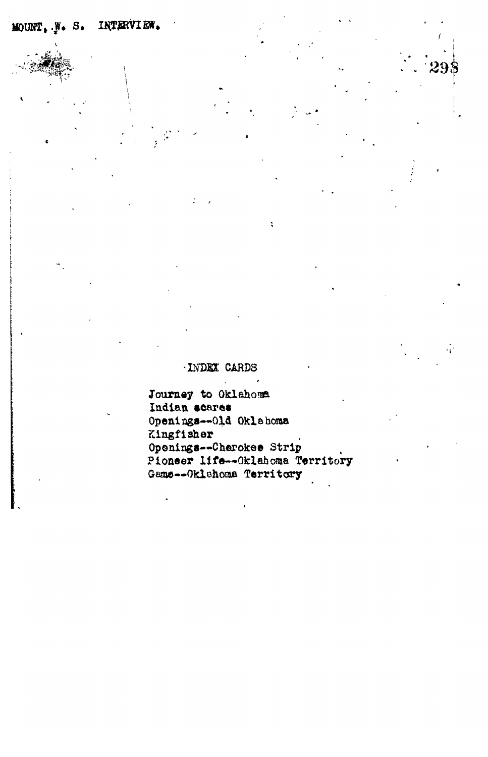## **• INDEX CARDS**

Journey to Oklahoma **Indian teares Openings—Old Oklahoma Kingfisher Openings—Cherokee Strip Pioneer life—Oklahoma Territory** Game--Oklahoma Territory

 $\therefore$  298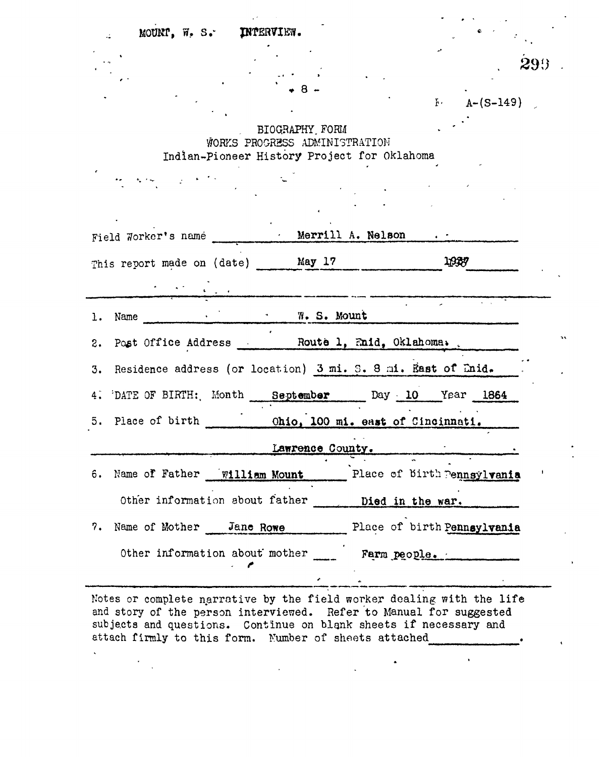| MOUNT, W. S. INTERVIEW.                                         |                             |
|-----------------------------------------------------------------|-----------------------------|
|                                                                 |                             |
|                                                                 |                             |
|                                                                 |                             |
|                                                                 | $F - A - (S-149)$           |
| BIOGRAPHY FORM                                                  |                             |
| WORKS PROGRESS ADMINISTRATION                                   |                             |
| Indian-Pioneer History Project for Oklahoma                     |                             |
|                                                                 |                             |
|                                                                 |                             |
|                                                                 |                             |
| Field Worker's name Merrill A. Nelson                           |                             |
| This report made on (date) May 17                               | 1939                        |
|                                                                 |                             |
|                                                                 |                             |
|                                                                 |                             |
| <b>Example 2018</b> The S. Mount<br>Name                        |                             |
| 1.<br>Post Office Address Route 1, Enid, Oklahoma.<br>2.        |                             |
| 3. Residence address (or location) 3 mi. 3. 8 mi. East of Enid. |                             |
| DATE OF BIRTH: Month September Day 10 Year 1864<br>4.           |                             |
|                                                                 |                             |
|                                                                 |                             |
| Lawrence County.                                                |                             |
| Name of Father   william Mount<br>ô.                            | Place of birth Pennsylvania |
| Other information about father                                  | Died in the war.            |
| Name of Mother Jane Rowe<br>7.                                  | Place of birth Pennsylvania |
| Other information about mother                                  | Farm people.                |

Notes or complete narrative by the field worker dealing with the life and story of the person interviewed. Refer to Manual for suggested subjects and questions. Continue on blank sheets if necessary and attach firmly to this form. Number of sheets attached

 $\ddot{\phantom{0}}$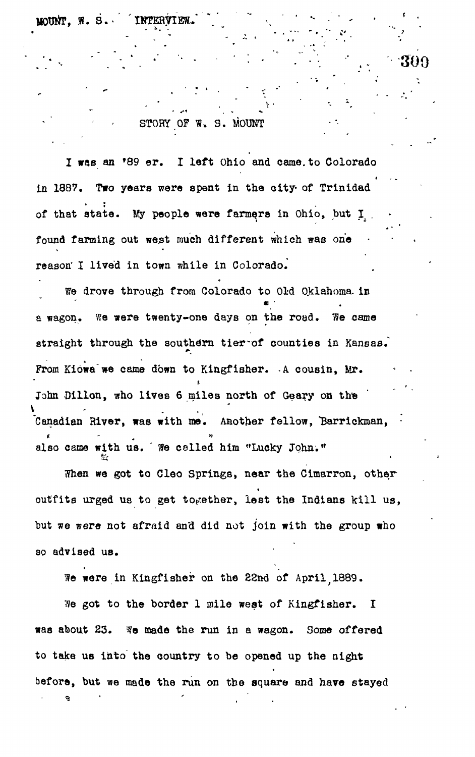MOUNT. W.

§•?

STORY OF W. S. MOUNT

300

I was an »89 er. I left Ohio and came.to Colorado in 1887. Two years were spent in the city- of Trinidad of that state. My people were farmers in Ohio, but I . found farming out west much different which was one reason" I lived in town while in Colorado.

We drove through from Colorado to Old Oklahoma, in \* • a wagon. We were twenty-one days on the road. We came straight through the southern tier of counties in Kansas. From Kiowa we came down to Kingfisher. A cousin, Mr. John Dillon, who lives 6 miles north of Geary on the Canadian River, was with me. Another fellow, 'Barrickman, • \* "• also came with us. We called him "Lucky John."

When we got to Cleo Springs, near the Cimarron, other t outfits urged us to get together, lest the Indians kill us, but we were not afraid and  $\mathbf{y}$  did not join with the group with the group with the group with the group with the group with the group with the group with the group with the group with the group with the group with th so advised us. so advised us.

We were in Kingfisher on the 22nd of April 1889.

We got to the border 1 mile west of Kingfisher. I was about 23. We made the run in a wagon. Some offered  $t_{\rm t}$  the country to be opened up the night before, but we made the run on the square and have stayed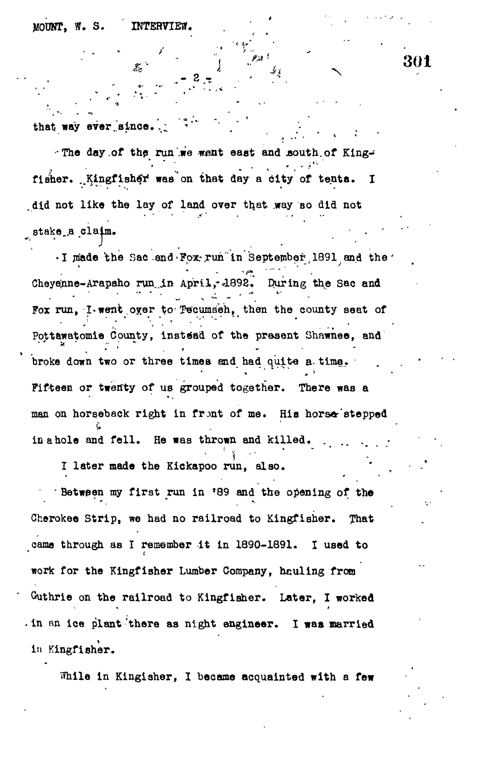**MOUNT, ff. S. INTERVIEW.**

•9' "\*\*

that way ever since.

**The day .of the run'.we went east and .south, of King-'** - • -»•" ' fisher. Kingfisher was on that day a city of tents. I did not like the lay of land over that way so did not **stake .a claim. • . •**

. I made the Sac and Fox run in September 1891 and the Cheyenne-Arapaho run in April, 1892. During the Sac and Fox run. I went over to Tecumsen, then the county seat of  $F_{\rm tot}$  run,  $\sigma$   $\sim$   $\sigma$  the process seat of  $\sigma$  $\mathcal{L} = \mathcal{L} \mathcal{L} \mathcal{L} \mathcal{L} \mathcal{L} \mathcal{L} \mathcal{L} \mathcal{L} \mathcal{L} \mathcal{L} \mathcal{L} \mathcal{L} \mathcal{L} \mathcal{L} \mathcal{L} \mathcal{L} \mathcal{L} \mathcal{L} \mathcal{L} \mathcal{L} \mathcal{L} \mathcal{L} \mathcal{L} \mathcal{L} \mathcal{L} \mathcal{L} \mathcal{L} \mathcal{L} \mathcal{L} \mathcal{L} \mathcal{L} \mathcal{L} \mathcal{L} \mathcal{L} \mathcal{L} \mathcal$ broke down two or three times and had quite a time. Fifteen or twenty of us grouped together. There was a man on horseback right in front of me. His horse stepped in a hole and fell. He was thrown and killed.

I later made the Kickapoo run, also.

**in Kingfisher.**

**Between my first run in '89 and the opening of the I later made the Kickapoo run, also. \*** That **• Between my first run in \*89 and the opening of the Cherokee Strip, we had no railroad to Kingfisher. That** Guthrie on the railroad to Kingfisher. Later, I worked **work for the Kingfisher Lumber Company, hauling from Outhrie on the railroad to Kingfisher. Later, I worked**

**• in an ice plant'there as night engineer. I was married** While in Kingisher, I became acquainted with a few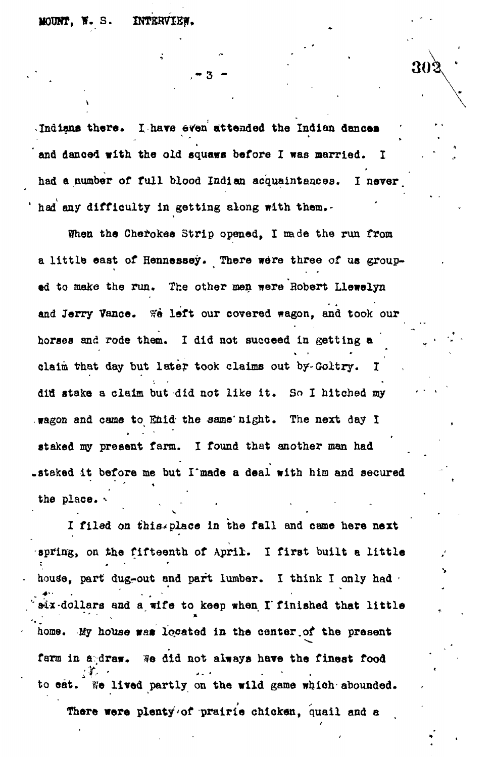**MOUNT, W. S. INTERVIEW.** 

302

**Indians there. I have even attended the Indian dances and danced with, the old squaws before I was married. I had a number of full blood Indian acquaintances. I never, <sup>1</sup> had any difficulty in getting along with them.-**

**When the Cherokee Strip opened, I nade the run from a little east of Hennessey. There were three of us grouped to make the run. The other men were Hobert Llewelyn** and Jerry Vance. We left our covered wagon, and took our horses and rode them. I did not succeed in getting a claim that day but later took claims out by-Goltry. did stake a claim but did not like it. So I hitched my . wagon and came to Enid the same night. The next day I staked my present farm. I found that enother man had staked it before me but I made a deal with him and secured **.staked it before me but I\*made a deal with him and secured**

I filed on this place in the fall and came here next spring, on the fifteenth of April. I first built a little house, part dug-out and part lumber. I think I only had built Hx-dollars and a wife to keep when I finished that little home. My house was located in the center of the present farm in andraw. We did not always have the finest food to eat. We lived partly on the wild game which abounded.

There were plenty of prairie chicken, quail and a **There were plenty'of prairie chicken, quail and a**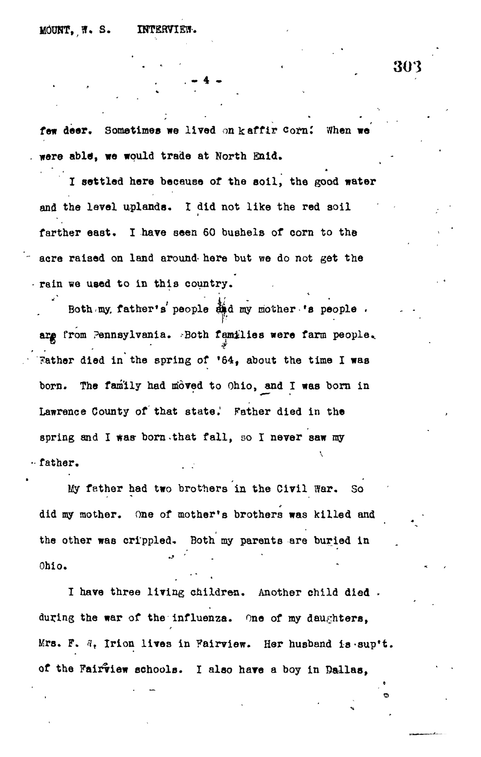few deer. Sometimes we lived on kaffir corn! When w **ware able", we would trade at North Enid.**

**. - 4 -**

**I settled here beceueo of the soil, the good water and the level uplands. I did not like the red soil farther east. I have seen 60 bushels of corn to the acre raised on land around- here but we do not get the rain we used to in this country.**

Both my. father's' people and my mother 's people . are from Pennsylvania. Both families were farm people. **Father died in the spring of '64, about the time I was** born. The family had moved to Ohio, and I was born in **Lawrence County of that state.\* Father died in the** spring and I was born that fall, so I never saw my **father.**

**My father had two brothers in the Civil War. So did my mother. One of mother's brothers was killed and the other was crippled- Both my parents are buried in Ohio.**

**I have three living children. Another child died . during the war of the influenza. One of my daughters, Mrs. F. <?r Irion lives in Fairview. Har husband is-sup't.** of the Fairview schools. I also have a boy in Dallas,